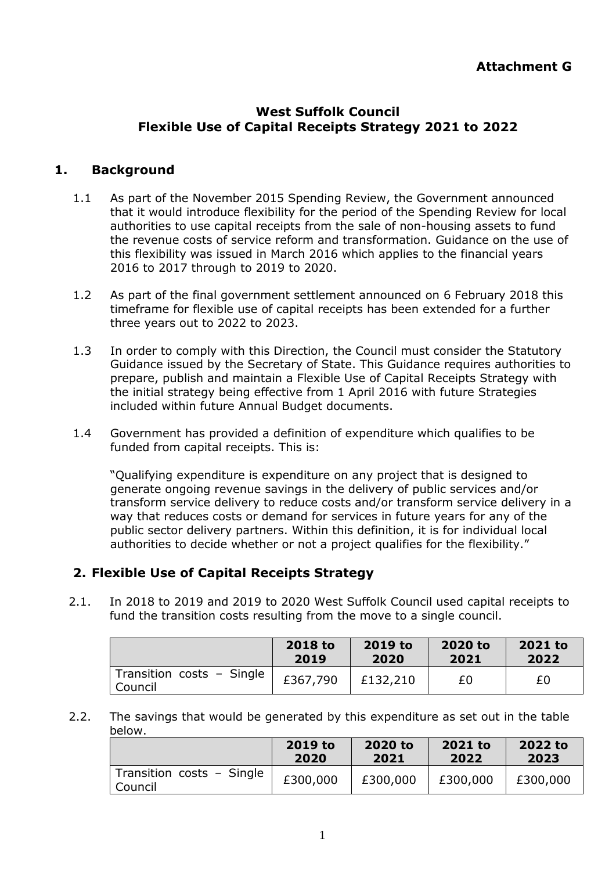## **West Suffolk Council Flexible Use of Capital Receipts Strategy 2021 to 2022**

## **1. Background**

- 1.1 As part of the November 2015 Spending Review, the Government announced that it would introduce flexibility for the period of the Spending Review for local authorities to use capital receipts from the sale of non-housing assets to fund the revenue costs of service reform and transformation. Guidance on the use of this flexibility was issued in March 2016 which applies to the financial years 2016 to 2017 through to 2019 to 2020.
- 1.2 As part of the final government settlement announced on 6 February 2018 this timeframe for flexible use of capital receipts has been extended for a further three years out to 2022 to 2023.
- 1.3 In order to comply with this Direction, the Council must consider the Statutory Guidance issued by the Secretary of State. This Guidance requires authorities to prepare, publish and maintain a Flexible Use of Capital Receipts Strategy with the initial strategy being effective from 1 April 2016 with future Strategies included within future Annual Budget documents.
- 1.4 Government has provided a definition of expenditure which qualifies to be funded from capital receipts. This is:

"Qualifying expenditure is expenditure on any project that is designed to generate ongoing revenue savings in the delivery of public services and/or transform service delivery to reduce costs and/or transform service delivery in a way that reduces costs or demand for services in future years for any of the public sector delivery partners. Within this definition, it is for individual local authorities to decide whether or not a project qualifies for the flexibility."

## **2. Flexible Use of Capital Receipts Strategy**

2.1. In 2018 to 2019 and 2019 to 2020 West Suffolk Council used capital receipts to fund the transition costs resulting from the move to a single council.

|                                      | 2018 to  | 2019 to  | 2020 to | 2021 to |
|--------------------------------------|----------|----------|---------|---------|
|                                      | 2019     | 2020     | 2021    | 2022    |
| Transition costs - Single<br>Council | £367,790 | £132,210 | £0      | £0      |

2.2. The savings that would be generated by this expenditure as set out in the table below.

|                                      | 2019 to  | 2020 to  | 2021 to  | 2022 to  |
|--------------------------------------|----------|----------|----------|----------|
|                                      | 2020     | 2021     | 2022     | 2023     |
| Transition costs - Single<br>Council | £300,000 | £300,000 | £300,000 | £300,000 |